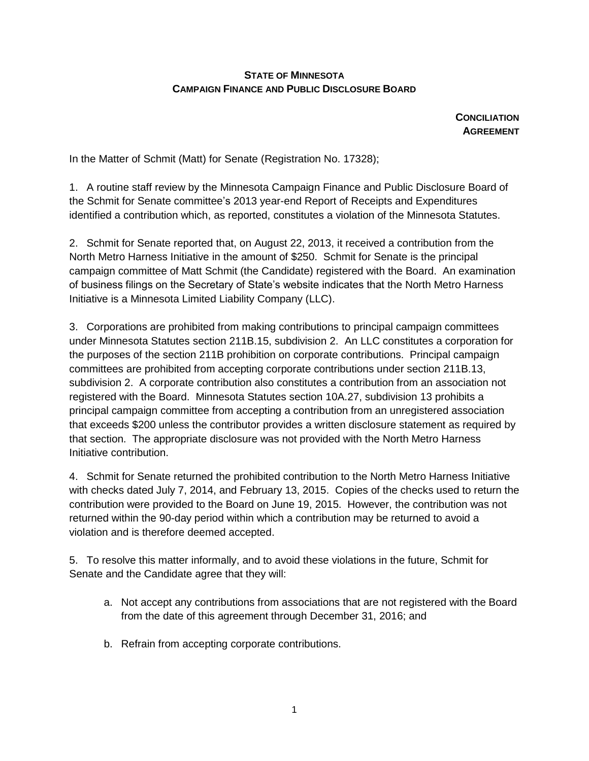## **STATE OF MINNESOTA CAMPAIGN FINANCE AND PUBLIC DISCLOSURE BOARD**

**CONCILIATION AGREEMENT**

In the Matter of Schmit (Matt) for Senate (Registration No. 17328);

1. A routine staff review by the Minnesota Campaign Finance and Public Disclosure Board of the Schmit for Senate committee's 2013 year-end Report of Receipts and Expenditures identified a contribution which, as reported, constitutes a violation of the Minnesota Statutes.

2. Schmit for Senate reported that, on August 22, 2013, it received a contribution from the North Metro Harness Initiative in the amount of \$250. Schmit for Senate is the principal campaign committee of Matt Schmit (the Candidate) registered with the Board. An examination of business filings on the Secretary of State's website indicates that the North Metro Harness Initiative is a Minnesota Limited Liability Company (LLC).

3. Corporations are prohibited from making contributions to principal campaign committees under Minnesota Statutes section 211B.15, subdivision 2. An LLC constitutes a corporation for the purposes of the section 211B prohibition on corporate contributions. Principal campaign committees are prohibited from accepting corporate contributions under section 211B.13, subdivision 2. A corporate contribution also constitutes a contribution from an association not registered with the Board. Minnesota Statutes section 10A.27, subdivision 13 prohibits a principal campaign committee from accepting a contribution from an unregistered association that exceeds \$200 unless the contributor provides a written disclosure statement as required by that section. The appropriate disclosure was not provided with the North Metro Harness Initiative contribution.

4. Schmit for Senate returned the prohibited contribution to the North Metro Harness Initiative with checks dated July 7, 2014, and February 13, 2015. Copies of the checks used to return the contribution were provided to the Board on June 19, 2015. However, the contribution was not returned within the 90-day period within which a contribution may be returned to avoid a violation and is therefore deemed accepted.

5. To resolve this matter informally, and to avoid these violations in the future, Schmit for Senate and the Candidate agree that they will:

- a. Not accept any contributions from associations that are not registered with the Board from the date of this agreement through December 31, 2016; and
- b. Refrain from accepting corporate contributions.